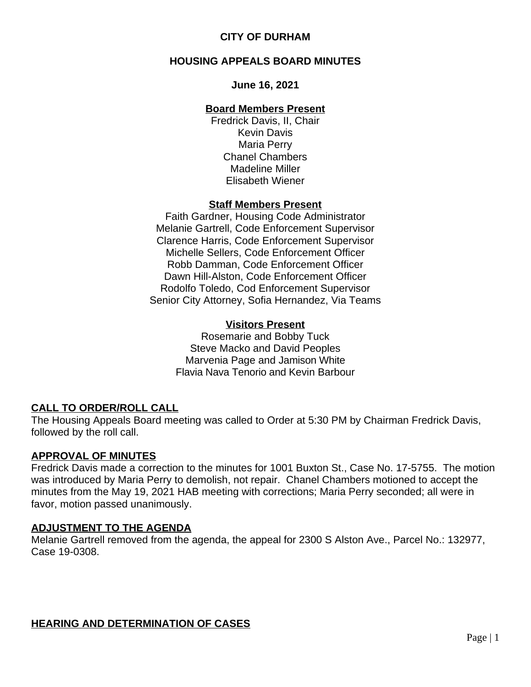# **HOUSING APPEALS BOARD MINUTES**

### **June 16, 2021**

## **Board Members Present**

Fredrick Davis, II, Chair Kevin Davis Maria Perry Chanel Chambers Madeline Miller Elisabeth Wiener

## **Staff Members Present**

Faith Gardner, Housing Code Administrator Melanie Gartrell, Code Enforcement Supervisor Clarence Harris, Code Enforcement Supervisor Michelle Sellers, Code Enforcement Officer Robb Damman, Code Enforcement Officer Dawn Hill-Alston, Code Enforcement Officer Rodolfo Toledo, Cod Enforcement Supervisor Senior City Attorney, Sofia Hernandez, Via Teams

## **Visitors Present**

Rosemarie and Bobby Tuck Steve Macko and David Peoples Marvenia Page and Jamison White Flavia Nava Tenorio and Kevin Barbour

# **CALL TO ORDER/ROLL CALL**

The Housing Appeals Board meeting was called to Order at 5:30 PM by Chairman Fredrick Davis, followed by the roll call.

## **APPROVAL OF MINUTES**

Fredrick Davis made a correction to the minutes for 1001 Buxton St., Case No. 17-5755. The motion was introduced by Maria Perry to demolish, not repair. Chanel Chambers motioned to accept the minutes from the May 19, 2021 HAB meeting with corrections; Maria Perry seconded; all were in favor, motion passed unanimously.

## **ADJUSTMENT TO THE AGENDA**

Melanie Gartrell removed from the agenda, the appeal for 2300 S Alston Ave., Parcel No.: 132977, Case 19-0308.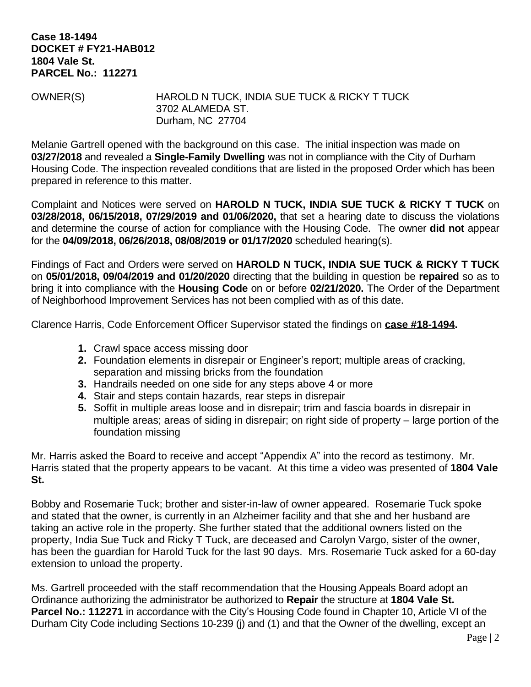#### **Case 18-1494 DOCKET # FY21-HAB012 1804 Vale St. PARCEL No.: 112271**

OWNER(S) HAROLD N TUCK, INDIA SUE TUCK & RICKY T TUCK 3702 ALAMEDA ST. Durham, NC 27704

Melanie Gartrell opened with the background on this case. The initial inspection was made on **03/27/2018** and revealed a **Single-Family Dwelling** was not in compliance with the City of Durham Housing Code. The inspection revealed conditions that are listed in the proposed Order which has been prepared in reference to this matter.

Complaint and Notices were served on **HAROLD N TUCK, INDIA SUE TUCK & RICKY T TUCK** on **03/28/2018, 06/15/2018, 07/29/2019 and 01/06/2020,** that set a hearing date to discuss the violations and determine the course of action for compliance with the Housing Code. The owner **did not** appear for the **04/09/2018, 06/26/2018, 08/08/2019 or 01/17/2020** scheduled hearing(s).

Findings of Fact and Orders were served on **HAROLD N TUCK, INDIA SUE TUCK & RICKY T TUCK** on **05/01/2018, 09/04/2019 and 01/20/2020** directing that the building in question be **repaired** so as to bring it into compliance with the **Housing Code** on or before **02/21/2020.** The Order of the Department of Neighborhood Improvement Services has not been complied with as of this date.

Clarence Harris, Code Enforcement Officer Supervisor stated the findings on **case #18-1494.**

- **1.** Crawl space access missing door
- **2.** Foundation elements in disrepair or Engineer's report; multiple areas of cracking, separation and missing bricks from the foundation
- **3.** Handrails needed on one side for any steps above 4 or more
- **4.** Stair and steps contain hazards, rear steps in disrepair
- **5.** Soffit in multiple areas loose and in disrepair; trim and fascia boards in disrepair in multiple areas; areas of siding in disrepair; on right side of property – large portion of the foundation missing

Mr. Harris asked the Board to receive and accept "Appendix A" into the record as testimony. Mr. Harris stated that the property appears to be vacant. At this time a video was presented of **1804 Vale St.**

Bobby and Rosemarie Tuck; brother and sister-in-law of owner appeared. Rosemarie Tuck spoke and stated that the owner, is currently in an Alzheimer facility and that she and her husband are taking an active role in the property. She further stated that the additional owners listed on the property, India Sue Tuck and Ricky T Tuck, are deceased and Carolyn Vargo, sister of the owner, has been the guardian for Harold Tuck for the last 90 days. Mrs. Rosemarie Tuck asked for a 60-day extension to unload the property.

Ms. Gartrell proceeded with the staff recommendation that the Housing Appeals Board adopt an Ordinance authorizing the administrator be authorized to **Repair** the structure at **1804 Vale St. Parcel No.: 112271** in accordance with the City's Housing Code found in Chapter 10, Article VI of the Durham City Code including Sections 10-239 (j) and (1) and that the Owner of the dwelling, except an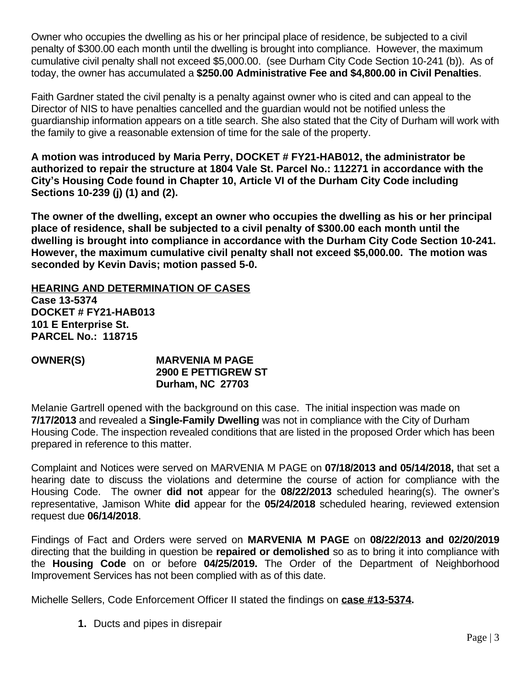Owner who occupies the dwelling as his or her principal place of residence, be subjected to a civil penalty of \$300.00 each month until the dwelling is brought into compliance. However, the maximum cumulative civil penalty shall not exceed \$5,000.00. (see Durham City Code Section 10-241 (b)). As of today, the owner has accumulated a **\$250.00 Administrative Fee and \$4,800.00 in Civil Penalties**.

Faith Gardner stated the civil penalty is a penalty against owner who is cited and can appeal to the Director of NIS to have penalties cancelled and the guardian would not be notified unless the guardianship information appears on a title search. She also stated that the City of Durham will work with the family to give a reasonable extension of time for the sale of the property.

**A motion was introduced by Maria Perry, DOCKET # FY21-HAB012, the administrator be authorized to repair the structure at 1804 Vale St. Parcel No.: 112271 in accordance with the City's Housing Code found in Chapter 10, Article VI of the Durham City Code including Sections 10-239 (j) (1) and (2).** 

**The owner of the dwelling, except an owner who occupies the dwelling as his or her principal place of residence, shall be subjected to a civil penalty of \$300.00 each month until the dwelling is brought into compliance in accordance with the Durham City Code Section 10-241. However, the maximum cumulative civil penalty shall not exceed \$5,000.00. The motion was seconded by Kevin Davis; motion passed 5-0.**

**HEARING AND DETERMINATION OF CASES Case 13-5374 DOCKET # FY21-HAB013 101 E Enterprise St. PARCEL No.: 118715**

### **OWNER(S) MARVENIA M PAGE 2900 E PETTIGREW ST Durham, NC 27703**

Melanie Gartrell opened with the background on this case. The initial inspection was made on **7/17/2013** and revealed a **Single-Family Dwelling** was not in compliance with the City of Durham Housing Code. The inspection revealed conditions that are listed in the proposed Order which has been prepared in reference to this matter.

Complaint and Notices were served on MARVENIA M PAGE on **07/18/2013 and 05/14/2018,** that set a hearing date to discuss the violations and determine the course of action for compliance with the Housing Code. The owner **did not** appear for the **08/22/2013** scheduled hearing(s). The owner's representative, Jamison White **did** appear for the **05/24/2018** scheduled hearing, reviewed extension request due **06/14/2018**.

Findings of Fact and Orders were served on **MARVENIA M PAGE** on **08/22/2013 and 02/20/2019** directing that the building in question be **repaired or demolished** so as to bring it into compliance with the **Housing Code** on or before **04/25/2019.** The Order of the Department of Neighborhood Improvement Services has not been complied with as of this date.

Michelle Sellers, Code Enforcement Officer II stated the findings on **case #13-5374.**

**1.** Ducts and pipes in disrepair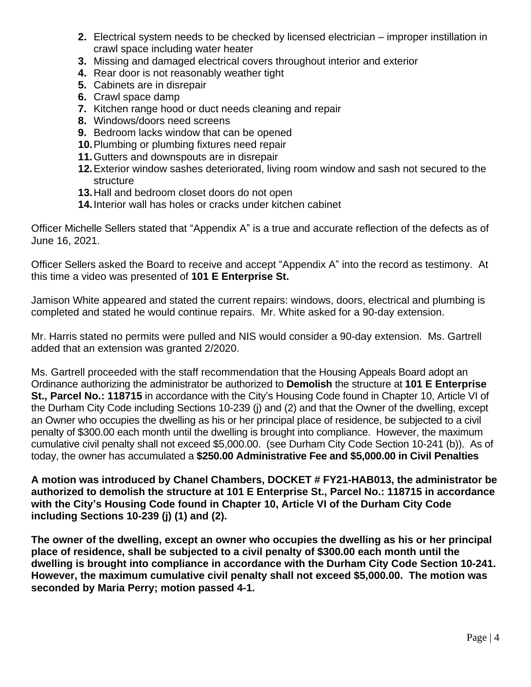- **2.** Electrical system needs to be checked by licensed electrician improper instillation in crawl space including water heater
- **3.** Missing and damaged electrical covers throughout interior and exterior
- **4.** Rear door is not reasonably weather tight
- **5.** Cabinets are in disrepair
- **6.** Crawl space damp
- **7.** Kitchen range hood or duct needs cleaning and repair
- **8.** Windows/doors need screens
- **9.** Bedroom lacks window that can be opened
- **10.**Plumbing or plumbing fixtures need repair
- **11.**Gutters and downspouts are in disrepair
- **12.**Exterior window sashes deteriorated, living room window and sash not secured to the structure
- **13.**Hall and bedroom closet doors do not open
- **14.**Interior wall has holes or cracks under kitchen cabinet

Officer Michelle Sellers stated that "Appendix A" is a true and accurate reflection of the defects as of June 16, 2021.

Officer Sellers asked the Board to receive and accept "Appendix A" into the record as testimony. At this time a video was presented of **101 E Enterprise St.**

Jamison White appeared and stated the current repairs: windows, doors, electrical and plumbing is completed and stated he would continue repairs. Mr. White asked for a 90-day extension.

Mr. Harris stated no permits were pulled and NIS would consider a 90-day extension. Ms. Gartrell added that an extension was granted 2/2020.

Ms. Gartrell proceeded with the staff recommendation that the Housing Appeals Board adopt an Ordinance authorizing the administrator be authorized to **Demolish** the structure at **101 E Enterprise St., Parcel No.: 118715** in accordance with the City's Housing Code found in Chapter 10, Article VI of the Durham City Code including Sections 10-239 (j) and (2) and that the Owner of the dwelling, except an Owner who occupies the dwelling as his or her principal place of residence, be subjected to a civil penalty of \$300.00 each month until the dwelling is brought into compliance. However, the maximum cumulative civil penalty shall not exceed \$5,000.00. (see Durham City Code Section 10-241 (b)). As of today, the owner has accumulated a **\$250.00 Administrative Fee and \$5,000.00 in Civil Penalties**

**A motion was introduced by Chanel Chambers, DOCKET # FY21-HAB013, the administrator be authorized to demolish the structure at 101 E Enterprise St., Parcel No.: 118715 in accordance with the City's Housing Code found in Chapter 10, Article VI of the Durham City Code including Sections 10-239 (j) (1) and (2).** 

**The owner of the dwelling, except an owner who occupies the dwelling as his or her principal place of residence, shall be subjected to a civil penalty of \$300.00 each month until the dwelling is brought into compliance in accordance with the Durham City Code Section 10-241. However, the maximum cumulative civil penalty shall not exceed \$5,000.00. The motion was seconded by Maria Perry; motion passed 4-1.**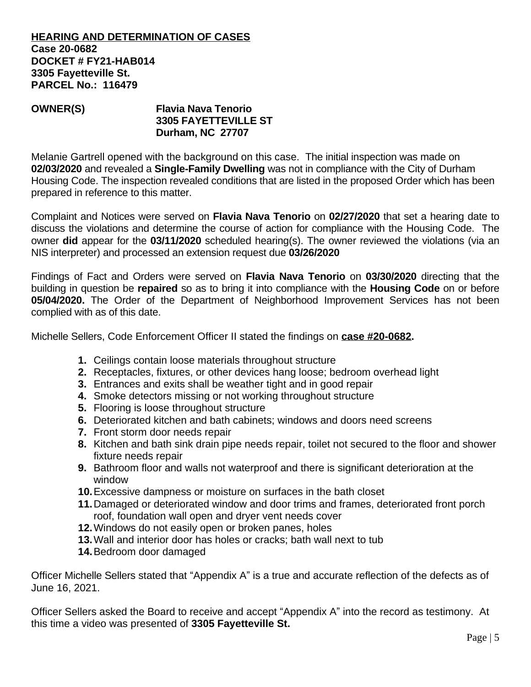#### **HEARING AND DETERMINATION OF CASES Case 20-0682 DOCKET # FY21-HAB014 3305 Fayetteville St. PARCEL No.: 116479**

## **OWNER(S) Flavia Nava Tenorio 3305 FAYETTEVILLE ST Durham, NC 27707**

Melanie Gartrell opened with the background on this case. The initial inspection was made on **02/03/2020** and revealed a **Single-Family Dwelling** was not in compliance with the City of Durham Housing Code. The inspection revealed conditions that are listed in the proposed Order which has been prepared in reference to this matter.

Complaint and Notices were served on **Flavia Nava Tenorio** on **02/27/2020** that set a hearing date to discuss the violations and determine the course of action for compliance with the Housing Code. The owner **did** appear for the **03/11/2020** scheduled hearing(s). The owner reviewed the violations (via an NIS interpreter) and processed an extension request due **03/26/2020**

Findings of Fact and Orders were served on **Flavia Nava Tenorio** on **03/30/2020** directing that the building in question be **repaired** so as to bring it into compliance with the **Housing Code** on or before **05/04/2020.** The Order of the Department of Neighborhood Improvement Services has not been complied with as of this date.

Michelle Sellers, Code Enforcement Officer II stated the findings on **case #20-0682.**

- **1.** Ceilings contain loose materials throughout structure
- **2.** Receptacles, fixtures, or other devices hang loose; bedroom overhead light
- **3.** Entrances and exits shall be weather tight and in good repair
- **4.** Smoke detectors missing or not working throughout structure
- **5.** Flooring is loose throughout structure
- **6.** Deteriorated kitchen and bath cabinets; windows and doors need screens
- **7.** Front storm door needs repair
- **8.** Kitchen and bath sink drain pipe needs repair, toilet not secured to the floor and shower fixture needs repair
- **9.** Bathroom floor and walls not waterproof and there is significant deterioration at the window
- **10.**Excessive dampness or moisture on surfaces in the bath closet
- **11.**Damaged or deteriorated window and door trims and frames, deteriorated front porch roof, foundation wall open and dryer vent needs cover
- **12.**Windows do not easily open or broken panes, holes
- **13.**Wall and interior door has holes or cracks; bath wall next to tub
- **14.**Bedroom door damaged

Officer Michelle Sellers stated that "Appendix A" is a true and accurate reflection of the defects as of June 16, 2021.

Officer Sellers asked the Board to receive and accept "Appendix A" into the record as testimony. At this time a video was presented of **3305 Fayetteville St.**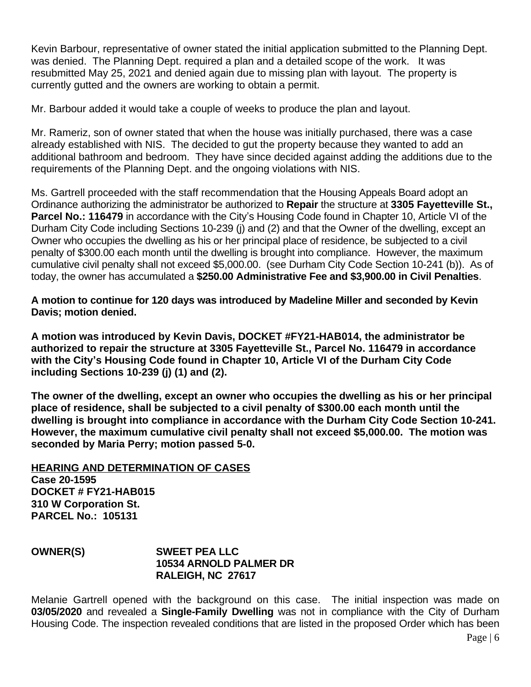Kevin Barbour, representative of owner stated the initial application submitted to the Planning Dept. was denied. The Planning Dept. required a plan and a detailed scope of the work. It was resubmitted May 25, 2021 and denied again due to missing plan with layout. The property is currently gutted and the owners are working to obtain a permit.

Mr. Barbour added it would take a couple of weeks to produce the plan and layout.

Mr. Rameriz, son of owner stated that when the house was initially purchased, there was a case already established with NIS. The decided to gut the property because they wanted to add an additional bathroom and bedroom. They have since decided against adding the additions due to the requirements of the Planning Dept. and the ongoing violations with NIS.

Ms. Gartrell proceeded with the staff recommendation that the Housing Appeals Board adopt an Ordinance authorizing the administrator be authorized to **Repair** the structure at **3305 Fayetteville St., Parcel No.: 116479** in accordance with the City's Housing Code found in Chapter 10, Article VI of the Durham City Code including Sections 10-239 (j) and (2) and that the Owner of the dwelling, except an Owner who occupies the dwelling as his or her principal place of residence, be subjected to a civil penalty of \$300.00 each month until the dwelling is brought into compliance. However, the maximum cumulative civil penalty shall not exceed \$5,000.00. (see Durham City Code Section 10-241 (b)). As of today, the owner has accumulated a **\$250.00 Administrative Fee and \$3,900.00 in Civil Penalties**.

**A motion to continue for 120 days was introduced by Madeline Miller and seconded by Kevin Davis; motion denied.**

**A motion was introduced by Kevin Davis, DOCKET #FY21-HAB014, the administrator be authorized to repair the structure at 3305 Fayetteville St., Parcel No. 116479 in accordance with the City's Housing Code found in Chapter 10, Article VI of the Durham City Code including Sections 10-239 (j) (1) and (2).** 

**The owner of the dwelling, except an owner who occupies the dwelling as his or her principal place of residence, shall be subjected to a civil penalty of \$300.00 each month until the dwelling is brought into compliance in accordance with the Durham City Code Section 10-241. However, the maximum cumulative civil penalty shall not exceed \$5,000.00. The motion was seconded by Maria Perry; motion passed 5-0.**

#### **HEARING AND DETERMINATION OF CASES Case 20-1595 DOCKET # FY21-HAB015 310 W Corporation St. PARCEL No.: 105131**

## **OWNER(S) SWEET PEA LLC 10534 ARNOLD PALMER DR RALEIGH, NC 27617**

Melanie Gartrell opened with the background on this case. The initial inspection was made on **03/05/2020** and revealed a **Single-Family Dwelling** was not in compliance with the City of Durham Housing Code. The inspection revealed conditions that are listed in the proposed Order which has been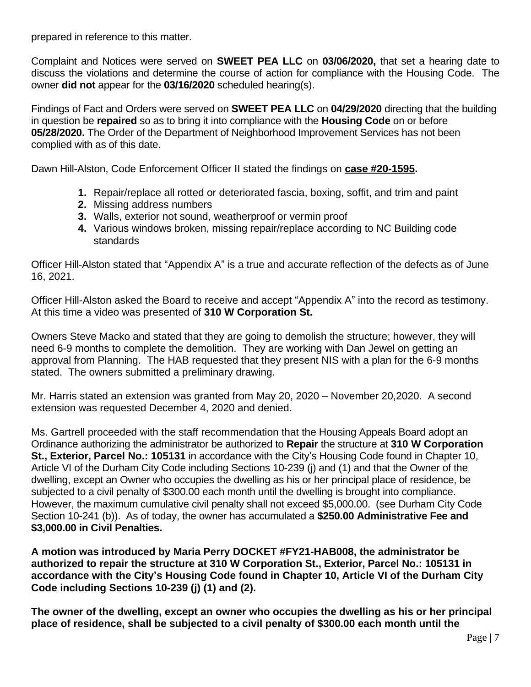prepared in reference to this matter.

Complaint and Notices were served on **SWEET PEA LLC** on **03/06/2020,** that set a hearing date to discuss the violations and determine the course of action for compliance with the Housing Code. The owner **did not** appear for the **03/16/2020** scheduled hearing(s).

Findings of Fact and Orders were served on **SWEET PEA LLC** on **04/29/2020** directing that the building in question be **repaired** so as to bring it into compliance with the **Housing Code** on or before **05/28/2020.** The Order of the Department of Neighborhood Improvement Services has not been complied with as of this date.

Dawn Hill-Alston, Code Enforcement Officer II stated the findings on **case #20-1595.**

- **1.** Repair/replace all rotted or deteriorated fascia, boxing, soffit, and trim and paint
- **2.** Missing address numbers
- **3.** Walls, exterior not sound, weatherproof or vermin proof
- **4.** Various windows broken, missing repair/replace according to NC Building code standards

Officer Hill-Alston stated that "Appendix A" is a true and accurate reflection of the defects as of June 16, 2021.

Officer Hill-Alston asked the Board to receive and accept "Appendix A" into the record as testimony. At this time a video was presented of **310 W Corporation St.**

Owners Steve Macko and stated that they are going to demolish the structure; however, they will need 6-9 months to complete the demolition. They are working with Dan Jewel on getting an approval from Planning. The HAB requested that they present NIS with a plan for the 6-9 months stated. The owners submitted a preliminary drawing.

Mr. Harris stated an extension was granted from May 20, 2020 – November 20,2020. A second extension was requested December 4, 2020 and denied.

Ms. Gartrell proceeded with the staff recommendation that the Housing Appeals Board adopt an Ordinance authorizing the administrator be authorized to **Repair** the structure at **310 W Corporation St., Exterior, Parcel No.: 105131** in accordance with the City's Housing Code found in Chapter 10, Article VI of the Durham City Code including Sections 10-239 (j) and (1) and that the Owner of the dwelling, except an Owner who occupies the dwelling as his or her principal place of residence, be subjected to a civil penalty of \$300.00 each month until the dwelling is brought into compliance. However, the maximum cumulative civil penalty shall not exceed \$5,000.00. (see Durham City Code Section 10-241 (b)). As of today, the owner has accumulated a **\$250.00 Administrative Fee and \$3,000.00 in Civil Penalties.**

**A motion was introduced by Maria Perry DOCKET #FY21-HAB008, the administrator be authorized to repair the structure at 310 W Corporation St., Exterior, Parcel No.: 105131 in accordance with the City's Housing Code found in Chapter 10, Article VI of the Durham City Code including Sections 10-239 (j) (1) and (2).** 

**The owner of the dwelling, except an owner who occupies the dwelling as his or her principal place of residence, shall be subjected to a civil penalty of \$300.00 each month until the**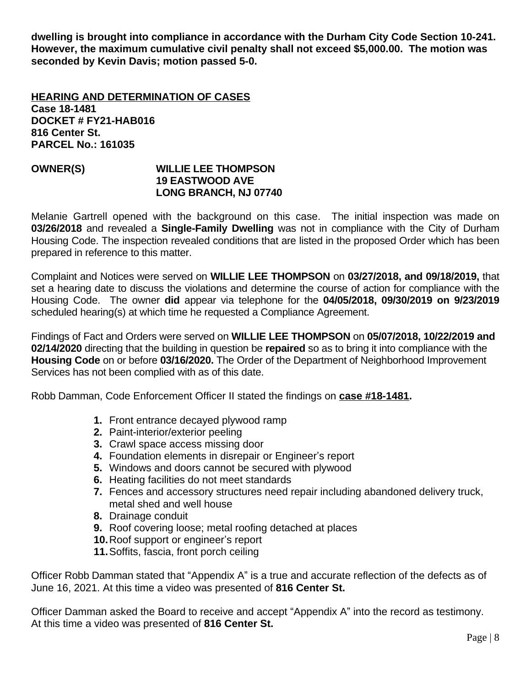**dwelling is brought into compliance in accordance with the Durham City Code Section 10-241. However, the maximum cumulative civil penalty shall not exceed \$5,000.00. The motion was seconded by Kevin Davis; motion passed 5-0.**

**HEARING AND DETERMINATION OF CASES Case 18-1481 DOCKET # FY21-HAB016 816 Center St. PARCEL No.: 161035**

#### **OWNER(S) WILLIE LEE THOMPSON 19 EASTWOOD AVE LONG BRANCH, NJ 07740**

Melanie Gartrell opened with the background on this case. The initial inspection was made on **03/26/2018** and revealed a **Single-Family Dwelling** was not in compliance with the City of Durham Housing Code. The inspection revealed conditions that are listed in the proposed Order which has been prepared in reference to this matter.

Complaint and Notices were served on **WILLIE LEE THOMPSON** on **03/27/2018, and 09/18/2019,** that set a hearing date to discuss the violations and determine the course of action for compliance with the Housing Code. The owner **did** appear via telephone for the **04/05/2018, 09/30/2019 on 9/23/2019** scheduled hearing(s) at which time he requested a Compliance Agreement.

Findings of Fact and Orders were served on **WILLIE LEE THOMPSON** on **05/07/2018, 10/22/2019 and 02/14/2020** directing that the building in question be **repaired** so as to bring it into compliance with the **Housing Code** on or before **03/16/2020.** The Order of the Department of Neighborhood Improvement Services has not been complied with as of this date.

Robb Damman, Code Enforcement Officer II stated the findings on **case #18-1481.**

- **1.** Front entrance decayed plywood ramp
- **2.** Paint-interior/exterior peeling
- **3.** Crawl space access missing door
- **4.** Foundation elements in disrepair or Engineer's report
- **5.** Windows and doors cannot be secured with plywood
- **6.** Heating facilities do not meet standards
- **7.** Fences and accessory structures need repair including abandoned delivery truck, metal shed and well house
- **8.** Drainage conduit
- **9.** Roof covering loose; metal roofing detached at places
- **10.**Roof support or engineer's report
- **11.**Soffits, fascia, front porch ceiling

Officer Robb Damman stated that "Appendix A" is a true and accurate reflection of the defects as of June 16, 2021. At this time a video was presented of **816 Center St.**

Officer Damman asked the Board to receive and accept "Appendix A" into the record as testimony. At this time a video was presented of **816 Center St.**